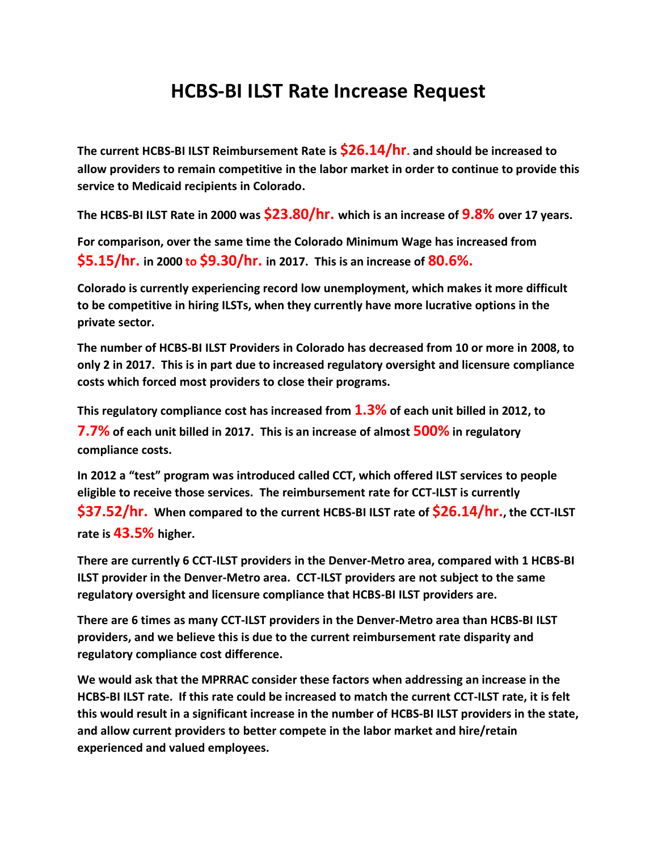## **HCBS-BI ILST Rate Increase Request**

**The current HCBS-BI ILST Reimbursement Rate is \$26.14/hr. and should be increased to allow providers to remain competitive in the labor market in order to continue to provide this service to Medicaid recipients in Colorado.** 

**The HCBS-BI ILST Rate in 2000 was \$23.80/hr. which is an increase of 9.8% over 17 years.**

**For comparison, over the same time the Colorado Minimum Wage has increased from \$5.15/hr. in 2000 to \$9.30/hr. in 2017. This is an increase of 80.6%.**

**Colorado is currently experiencing record low unemployment, which makes it more difficult to be competitive in hiring ILSTs, when they currently have more lucrative options in the private sector.**

**The number of HCBS-BI ILST Providers in Colorado has decreased from 10 or more in 2008, to only 2 in 2017. This is in part due to increased regulatory oversight and licensure compliance costs which forced most providers to close their programs.**

**This regulatory compliance cost has increased from 1.3% of each unit billed in 2012, to** 

**7.7% of each unit billed in 2017. This is an increase of almost 500% in regulatory compliance costs.**

**In 2012 a "test" program was introduced called CCT, which offered ILST services to people eligible to receive those services. The reimbursement rate for CCT-ILST is currently \$37.52/hr. When compared to the current HCBS-BI ILST rate of \$26.14/hr., the CCT-ILST rate is 43.5% higher.** 

**There are currently 6 CCT-ILST providers in the Denver-Metro area, compared with 1 HCBS-BI ILST provider in the Denver-Metro area. CCT-ILST providers are not subject to the same regulatory oversight and licensure compliance that HCBS-BI ILST providers are.** 

**There are 6 times as many CCT-ILST providers in the Denver-Metro area than HCBS-BI ILST providers, and we believe this is due to the current reimbursement rate disparity and regulatory compliance cost difference.**

**We would ask that the MPRRAC consider these factors when addressing an increase in the HCBS-BI ILST rate. If this rate could be increased to match the current CCT-ILST rate, it is felt this would result in a significant increase in the number of HCBS-BI ILST providers in the state, and allow current providers to better compete in the labor market and hire/retain experienced and valued employees.**